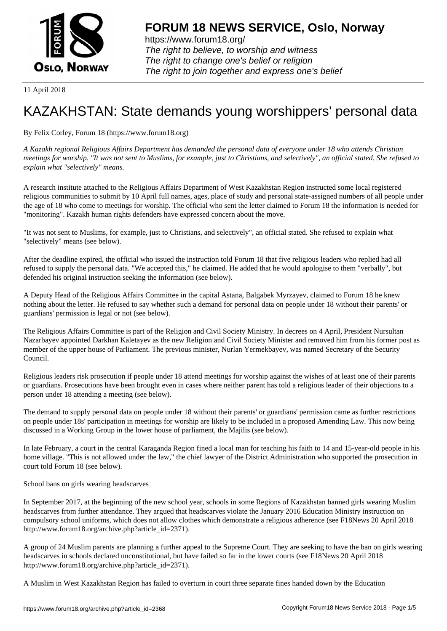

https://www.forum18.org/ The right to believe, to worship and witness The right to change one's belief or religion [The right to join together a](https://www.forum18.org/)nd express one's belief

11 April 2018

## [KAZAKHSTAN:](https://www.forum18.org) State demands young worshippers' personal data

By Felix Corley, Forum 18 (https://www.forum18.org)

*A Kazakh regional Religious Affairs Department has demanded the personal data of everyone under 18 who attends Christian meetings for worship. "It was not sent to Muslims, for example, just to Christians, and selectively", an official stated. She refused to explain what "selectively" means.*

A research institute attached to the Religious Affairs Department of West Kazakhstan Region instructed some local registered religious communities to submit by 10 April full names, ages, place of study and personal state-assigned numbers of all people under the age of 18 who come to meetings for worship. The official who sent the letter claimed to Forum 18 the information is needed for "monitoring". Kazakh human rights defenders have expressed concern about the move.

"It was not sent to Muslims, for example, just to Christians, and selectively", an official stated. She refused to explain what "selectively" means (see below).

After the deadline expired, the official who issued the instruction told Forum 18 that five religious leaders who replied had all refused to supply the personal data. "We accepted this," he claimed. He added that he would apologise to them "verbally", but defended his original instruction seeking the information (see below).

A Deputy Head of the Religious Affairs Committee in the capital Astana, Balgabek Myrzayev, claimed to Forum 18 he knew nothing about the letter. He refused to say whether such a demand for personal data on people under 18 without their parents' or guardians' permission is legal or not (see below).

The Religious Affairs Committee is part of the Religion and Civil Society Ministry. In decrees on 4 April, President Nursultan Nazarbayev appointed Darkhan Kaletayev as the new Religion and Civil Society Minister and removed him from his former post as member of the upper house of Parliament. The previous minister, Nurlan Yermekbayev, was named Secretary of the Security Council.

Religious leaders risk prosecution if people under 18 attend meetings for worship against the wishes of at least one of their parents or guardians. Prosecutions have been brought even in cases where neither parent has told a religious leader of their objections to a person under 18 attending a meeting (see below).

The demand to supply personal data on people under 18 without their parents' or guardians' permission came as further restrictions on people under 18s' participation in meetings for worship are likely to be included in a proposed Amending Law. This now being discussed in a Working Group in the lower house of parliament, the Majilis (see below).

In late February, a court in the central Karaganda Region fined a local man for teaching his faith to 14 and 15-year-old people in his home village. "This is not allowed under the law," the chief lawyer of the District Administration who supported the prosecution in court told Forum 18 (see below).

School bans on girls wearing headscarves

In September 2017, at the beginning of the new school year, schools in some Regions of Kazakhstan banned girls wearing Muslim headscarves from further attendance. They argued that headscarves violate the January 2016 Education Ministry instruction on compulsory school uniforms, which does not allow clothes which demonstrate a religious adherence (see F18News 20 April 2018 http://www.forum18.org/archive.php?article\_id=2371).

A group of 24 Muslim parents are planning a further appeal to the Supreme Court. They are seeking to have the ban on girls wearing headscarves in schools declared unconstitutional, but have failed so far in the lower courts (see F18News 20 April 2018 http://www.forum18.org/archive.php?article\_id=2371).

A Muslim in West Kazakhstan Region has failed to overturn in court three separate fines handed down by the Education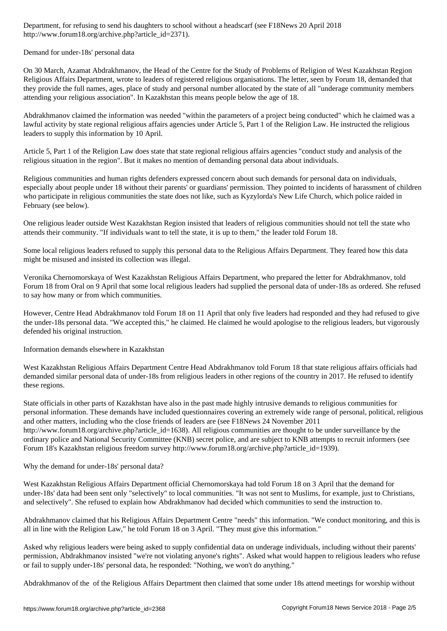http://www.forum18.org/archive.php?article\_id=2371).

Demand for under-18s' personal data

On 30 March, Azamat Abdrakhmanov, the Head of the Centre for the Study of Problems of Religion of West Kazakhstan Region Religious Affairs Department, wrote to leaders of registered religious organisations. The letter, seen by Forum 18, demanded that they provide the full names, ages, place of study and personal number allocated by the state of all "underage community members attending your religious association". In Kazakhstan this means people below the age of 18.

Abdrakhmanov claimed the information was needed "within the parameters of a project being conducted" which he claimed was a lawful activity by state regional religious affairs agencies under Article 5, Part 1 of the Religion Law. He instructed the religious leaders to supply this information by 10 April.

Article 5, Part 1 of the Religion Law does state that state regional religious affairs agencies "conduct study and analysis of the religious situation in the region". But it makes no mention of demanding personal data about individuals.

Religious communities and human rights defenders expressed concern about such demands for personal data on individuals, especially about people under 18 without their parents' or guardians' permission. They pointed to incidents of harassment of children who participate in religious communities the state does not like, such as Kyzylorda's New Life Church, which police raided in February (see below).

One religious leader outside West Kazakhstan Region insisted that leaders of religious communities should not tell the state who attends their community. "If individuals want to tell the state, it is up to them," the leader told Forum 18.

Some local religious leaders refused to supply this personal data to the Religious Affairs Department. They feared how this data might be misused and insisted its collection was illegal.

Veronika Chernomorskaya of West Kazakhstan Religious Affairs Department, who prepared the letter for Abdrakhmanov, told Forum 18 from Oral on 9 April that some local religious leaders had supplied the personal data of under-18s as ordered. She refused to say how many or from which communities.

However, Centre Head Abdrakhmanov told Forum 18 on 11 April that only five leaders had responded and they had refused to give the under-18s personal data. "We accepted this," he claimed. He claimed he would apologise to the religious leaders, but vigorously defended his original instruction.

Information demands elsewhere in Kazakhstan

West Kazakhstan Religious Affairs Department Centre Head Abdrakhmanov told Forum 18 that state religious affairs officials had demanded similar personal data of under-18s from religious leaders in other regions of the country in 2017. He refused to identify these regions.

State officials in other parts of Kazakhstan have also in the past made highly intrusive demands to religious communities for personal information. These demands have included questionnaires covering an extremely wide range of personal, political, religious and other matters, including who the close friends of leaders are (see F18News 24 November 2011 http://www.forum18.org/archive.php?article\_id=1638). All religious communities are thought to be under surveillance by the ordinary police and National Security Committee (KNB) secret police, and are subject to KNB attempts to recruit informers (see Forum 18's Kazakhstan religious freedom survey http://www.forum18.org/archive.php?article\_id=1939).

Why the demand for under-18s' personal data?

West Kazakhstan Religious Affairs Department official Chernomorskaya had told Forum 18 on 3 April that the demand for under-18s' data had been sent only "selectively" to local communities. "It was not sent to Muslims, for example, just to Christians, and selectively". She refused to explain how Abdrakhmanov had decided which communities to send the instruction to.

Abdrakhmanov claimed that his Religious Affairs Department Centre "needs" this information. "We conduct monitoring, and this is all in line with the Religion Law," he told Forum 18 on 3 April. "They must give this information."

Asked why religious leaders were being asked to supply confidential data on underage individuals, including without their parents' permission, Abdrakhmanov insisted "we're not violating anyone's rights". Asked what would happen to religious leaders who refuse or fail to supply under-18s' personal data, he responded: "Nothing, we won't do anything."

Abdrakhmanov of the of the Religious Affairs Department then claimed that some under 18s attend meetings for worship without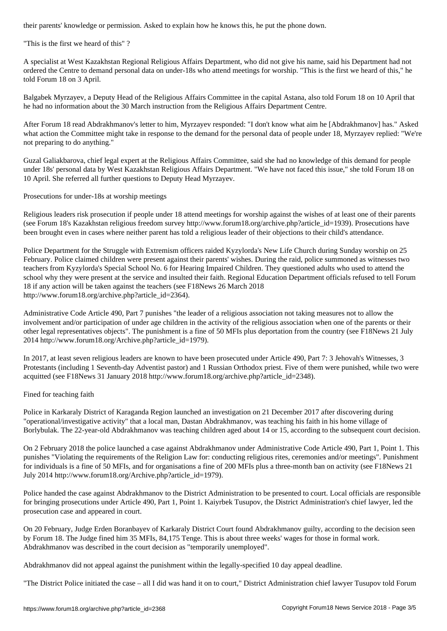"This is the first we heard of this" ?

A specialist at West Kazakhstan Regional Religious Affairs Department, who did not give his name, said his Department had not ordered the Centre to demand personal data on under-18s who attend meetings for worship. "This is the first we heard of this," he told Forum 18 on 3 April.

Balgabek Myrzayev, a Deputy Head of the Religious Affairs Committee in the capital Astana, also told Forum 18 on 10 April that he had no information about the 30 March instruction from the Religious Affairs Department Centre.

After Forum 18 read Abdrakhmanov's letter to him, Myrzayev responded: "I don't know what aim he [Abdrakhmanov] has." Asked what action the Committee might take in response to the demand for the personal data of people under 18, Myrzayev replied: "We're not preparing to do anything."

Guzal Galiakbarova, chief legal expert at the Religious Affairs Committee, said she had no knowledge of this demand for people under 18s' personal data by West Kazakhstan Religious Affairs Department. "We have not faced this issue," she told Forum 18 on 10 April. She referred all further questions to Deputy Head Myrzayev.

Prosecutions for under-18s at worship meetings

Religious leaders risk prosecution if people under 18 attend meetings for worship against the wishes of at least one of their parents (see Forum 18's Kazakhstan religious freedom survey http://www.forum18.org/archive.php?article\_id=1939). Prosecutions have been brought even in cases where neither parent has told a religious leader of their objections to their child's attendance.

Police Department for the Struggle with Extremism officers raided Kyzylorda's New Life Church during Sunday worship on 25 February. Police claimed children were present against their parents' wishes. During the raid, police summoned as witnesses two teachers from Kyzylorda's Special School No. 6 for Hearing Impaired Children. They questioned adults who used to attend the school why they were present at the service and insulted their faith. Regional Education Department officials refused to tell Forum 18 if any action will be taken against the teachers (see F18News 26 March 2018 http://www.forum18.org/archive.php?article\_id=2364).

Administrative Code Article 490, Part 7 punishes "the leader of a religious association not taking measures not to allow the involvement and/or participation of under age children in the activity of the religious association when one of the parents or their other legal representatives objects". The punishment is a fine of 50 MFIs plus deportation from the country (see F18News 21 July 2014 http://www.forum18.org/Archive.php?article\_id=1979).

In 2017, at least seven religious leaders are known to have been prosecuted under Article 490, Part 7: 3 Jehovah's Witnesses, 3 Protestants (including 1 Seventh-day Adventist pastor) and 1 Russian Orthodox priest. Five of them were punished, while two were acquitted (see F18News 31 January 2018 http://www.forum18.org/archive.php?article\_id=2348).

## Fined for teaching faith

Police in Karkaraly District of Karaganda Region launched an investigation on 21 December 2017 after discovering during "operational/investigative activity" that a local man, Dastan Abdrakhmanov, was teaching his faith in his home village of Borlybulak. The 22-year-old Abdrakhmanov was teaching children aged about 14 or 15, according to the subsequent court decision.

On 2 February 2018 the police launched a case against Abdrakhmanov under Administrative Code Article 490, Part 1, Point 1. This punishes "Violating the requirements of the Religion Law for: conducting religious rites, ceremonies and/or meetings". Punishment for individuals is a fine of 50 MFIs, and for organisations a fine of 200 MFIs plus a three-month ban on activity (see F18News 21 July 2014 http://www.forum18.org/Archive.php?article\_id=1979).

Police handed the case against Abdrakhmanov to the District Administration to be presented to court. Local officials are responsible for bringing prosecutions under Article 490, Part 1, Point 1. Kaiyrbek Tusupov, the District Administration's chief lawyer, led the prosecution case and appeared in court.

On 20 February, Judge Erden Boranbayev of Karkaraly District Court found Abdrakhmanov guilty, according to the decision seen by Forum 18. The Judge fined him 35 MFIs, 84,175 Tenge. This is about three weeks' wages for those in formal work. Abdrakhmanov was described in the court decision as "temporarily unemployed".

Abdrakhmanov did not appeal against the punishment within the legally-specified 10 day appeal deadline.

"The District Police initiated the case – all I did was hand it on to court," District Administration chief lawyer Tusupov told Forum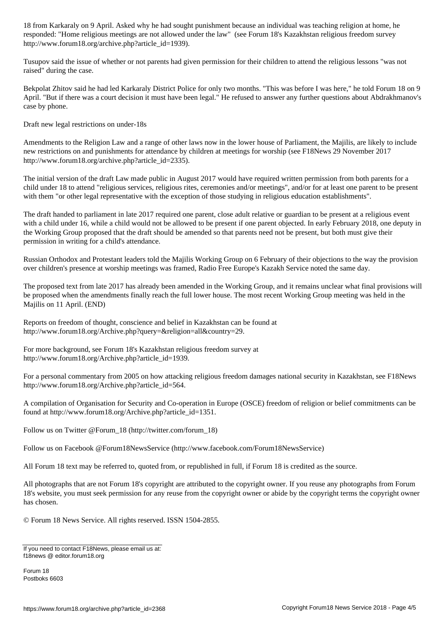responded: "Home religious meetings are not allowed under the law " (see Forum 18's Kazakhstan religious freed http://www.forum18.org/archive.php?article\_id=1939).

Tusupov said the issue of whether or not parents had given permission for their children to attend the religious lessons "was not raised" during the case.

Bekpolat Zhitov said he had led Karkaraly District Police for only two months. "This was before I was here," he told Forum 18 on 9 April. "But if there was a court decision it must have been legal." He refused to answer any further questions about Abdrakhmanov's case by phone.

Draft new legal restrictions on under-18s

Amendments to the Religion Law and a range of other laws now in the lower house of Parliament, the Majilis, are likely to include new restrictions on and punishments for attendance by children at meetings for worship (see F18News 29 November 2017 http://www.forum18.org/archive.php?article\_id=2335).

The initial version of the draft Law made public in August 2017 would have required written permission from both parents for a child under 18 to attend "religious services, religious rites, ceremonies and/or meetings", and/or for at least one parent to be present with them "or other legal representative with the exception of those studying in religious education establishments".

The draft handed to parliament in late 2017 required one parent, close adult relative or guardian to be present at a religious event with a child under 16, while a child would not be allowed to be present if one parent objected. In early February 2018, one deputy in the Working Group proposed that the draft should be amended so that parents need not be present, but both must give their permission in writing for a child's attendance.

Russian Orthodox and Protestant leaders told the Majilis Working Group on 6 February of their objections to the way the provision over children's presence at worship meetings was framed, Radio Free Europe's Kazakh Service noted the same day.

The proposed text from late 2017 has already been amended in the Working Group, and it remains unclear what final provisions will be proposed when the amendments finally reach the full lower house. The most recent Working Group meeting was held in the Majilis on 11 April. (END)

Reports on freedom of thought, conscience and belief in Kazakhstan can be found at http://www.forum18.org/Archive.php?query=&religion=all&country=29.

For more background, see Forum 18's Kazakhstan religious freedom survey at http://www.forum18.org/Archive.php?article\_id=1939.

For a personal commentary from 2005 on how attacking religious freedom damages national security in Kazakhstan, see F18News http://www.forum18.org/Archive.php?article\_id=564.

A compilation of Organisation for Security and Co-operation in Europe (OSCE) freedom of religion or belief commitments can be found at http://www.forum18.org/Archive.php?article\_id=1351.

Follow us on Twitter @Forum\_18 (http://twitter.com/forum\_18)

Follow us on Facebook @Forum18NewsService (http://www.facebook.com/Forum18NewsService)

All Forum 18 text may be referred to, quoted from, or republished in full, if Forum 18 is credited as the source.

All photographs that are not Forum 18's copyright are attributed to the copyright owner. If you reuse any photographs from Forum 18's website, you must seek permission for any reuse from the copyright owner or abide by the copyright terms the copyright owner has chosen.

© Forum 18 News Service. All rights reserved. ISSN 1504-2855.

Forum 18 Postboks 6603

If you need to contact F18News, please email us at: f18news @ editor.forum18.org